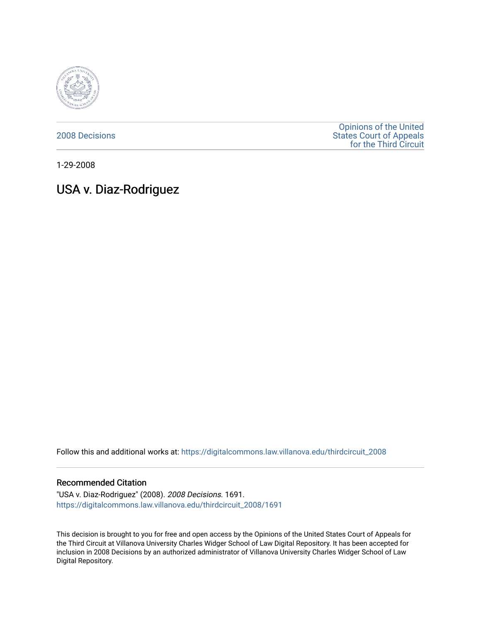

[2008 Decisions](https://digitalcommons.law.villanova.edu/thirdcircuit_2008)

[Opinions of the United](https://digitalcommons.law.villanova.edu/thirdcircuit)  [States Court of Appeals](https://digitalcommons.law.villanova.edu/thirdcircuit)  [for the Third Circuit](https://digitalcommons.law.villanova.edu/thirdcircuit) 

1-29-2008

# USA v. Diaz-Rodriguez

Follow this and additional works at: [https://digitalcommons.law.villanova.edu/thirdcircuit\\_2008](https://digitalcommons.law.villanova.edu/thirdcircuit_2008?utm_source=digitalcommons.law.villanova.edu%2Fthirdcircuit_2008%2F1691&utm_medium=PDF&utm_campaign=PDFCoverPages) 

#### Recommended Citation

"USA v. Diaz-Rodriguez" (2008). 2008 Decisions. 1691. [https://digitalcommons.law.villanova.edu/thirdcircuit\\_2008/1691](https://digitalcommons.law.villanova.edu/thirdcircuit_2008/1691?utm_source=digitalcommons.law.villanova.edu%2Fthirdcircuit_2008%2F1691&utm_medium=PDF&utm_campaign=PDFCoverPages) 

This decision is brought to you for free and open access by the Opinions of the United States Court of Appeals for the Third Circuit at Villanova University Charles Widger School of Law Digital Repository. It has been accepted for inclusion in 2008 Decisions by an authorized administrator of Villanova University Charles Widger School of Law Digital Repository.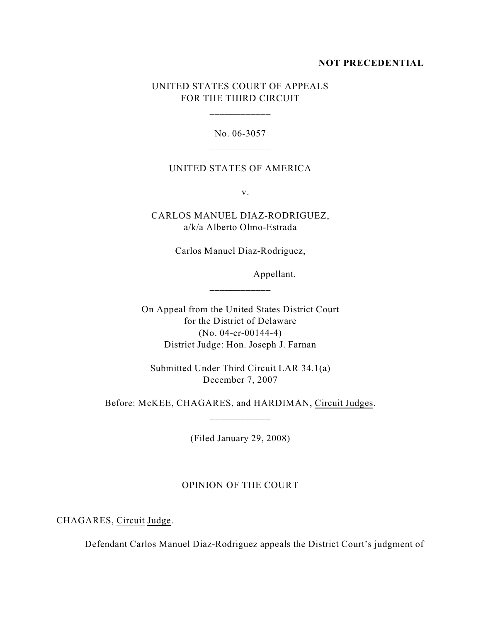## **NOT PRECEDENTIAL**

## UNITED STATES COURT OF APPEALS FOR THE THIRD CIRCUIT

\_\_\_\_\_\_\_\_\_\_\_\_

No. 06-3057

### UNITED STATES OF AMERICA

v.

CARLOS MANUEL DIAZ-RODRIGUEZ, a/k/a Alberto Olmo-Estrada

Carlos Manuel Diaz-Rodriguez,

Appellant.

On Appeal from the United States District Court for the District of Delaware (No. 04-cr-00144-4) District Judge: Hon. Joseph J. Farnan

Submitted Under Third Circuit LAR 34.1(a) December 7, 2007

Before: McKEE, CHAGARES, and HARDIMAN, Circuit Judges. \_\_\_\_\_\_\_\_\_\_\_\_

(Filed January 29, 2008)

## OPINION OF THE COURT

CHAGARES, Circuit Judge.

Defendant Carlos Manuel Diaz-Rodriguez appeals the District Court's judgment of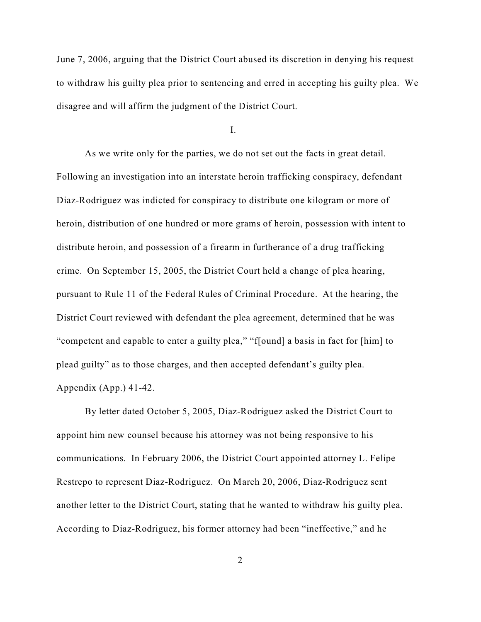June 7, 2006, arguing that the District Court abused its discretion in denying his request to withdraw his guilty plea prior to sentencing and erred in accepting his guilty plea. We disagree and will affirm the judgment of the District Court.

I.

As we write only for the parties, we do not set out the facts in great detail. Following an investigation into an interstate heroin trafficking conspiracy, defendant Diaz-Rodriguez was indicted for conspiracy to distribute one kilogram or more of heroin, distribution of one hundred or more grams of heroin, possession with intent to distribute heroin, and possession of a firearm in furtherance of a drug trafficking crime. On September 15, 2005, the District Court held a change of plea hearing, pursuant to Rule 11 of the Federal Rules of Criminal Procedure. At the hearing, the District Court reviewed with defendant the plea agreement, determined that he was "competent and capable to enter a guilty plea," "f[ound] a basis in fact for [him] to plead guilty" as to those charges, and then accepted defendant's guilty plea. Appendix (App.) 41-42.

By letter dated October 5, 2005, Diaz-Rodriguez asked the District Court to appoint him new counsel because his attorney was not being responsive to his communications. In February 2006, the District Court appointed attorney L. Felipe Restrepo to represent Diaz-Rodriguez. On March 20, 2006, Diaz-Rodriguez sent another letter to the District Court, stating that he wanted to withdraw his guilty plea. According to Diaz-Rodriguez, his former attorney had been "ineffective," and he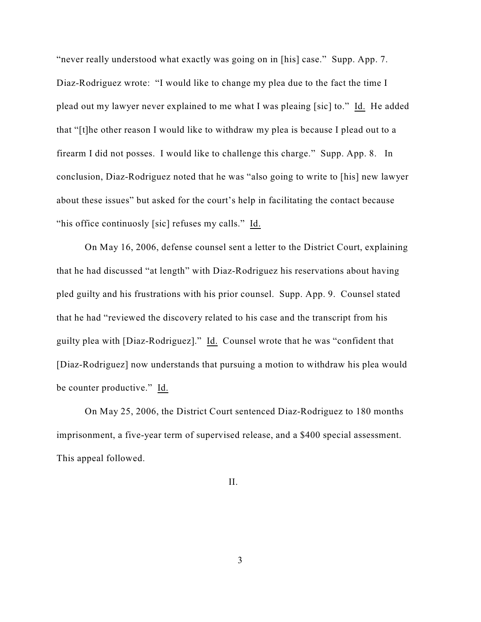"never really understood what exactly was going on in [his] case." Supp. App. 7. Diaz-Rodriguez wrote: "I would like to change my plea due to the fact the time I plead out my lawyer never explained to me what I was pleaing [sic] to." Id. He added that "[t]he other reason I would like to withdraw my plea is because I plead out to a firearm I did not posses. I would like to challenge this charge." Supp. App. 8. In conclusion, Diaz-Rodriguez noted that he was "also going to write to [his] new lawyer about these issues" but asked for the court's help in facilitating the contact because "his office continuosly [sic] refuses my calls." Id.

On May 16, 2006, defense counsel sent a letter to the District Court, explaining that he had discussed "at length" with Diaz-Rodriguez his reservations about having pled guilty and his frustrations with his prior counsel. Supp. App. 9. Counsel stated that he had "reviewed the discovery related to his case and the transcript from his guilty plea with [Diaz-Rodriguez]." Id. Counsel wrote that he was "confident that [Diaz-Rodriguez] now understands that pursuing a motion to withdraw his plea would be counter productive." Id.

On May 25, 2006, the District Court sentenced Diaz-Rodriguez to 180 months imprisonment, a five-year term of supervised release, and a \$400 special assessment. This appeal followed.

II.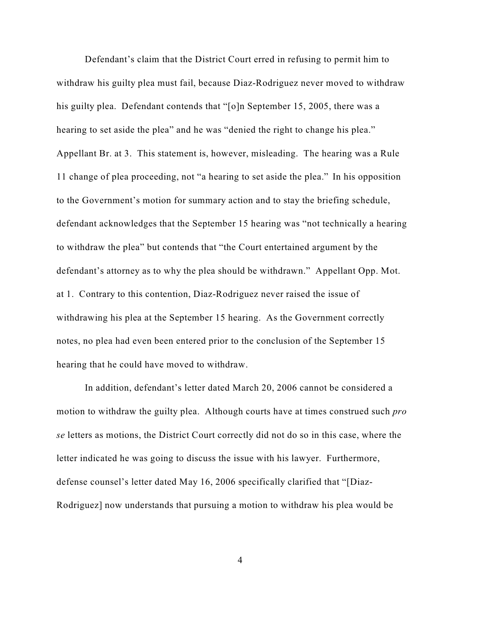Defendant's claim that the District Court erred in refusing to permit him to withdraw his guilty plea must fail, because Diaz-Rodriguez never moved to withdraw his guilty plea. Defendant contends that "[o]n September 15, 2005, there was a hearing to set aside the plea" and he was "denied the right to change his plea." Appellant Br. at 3. This statement is, however, misleading. The hearing was a Rule 11 change of plea proceeding, not "a hearing to set aside the plea." In his opposition to the Government's motion for summary action and to stay the briefing schedule, defendant acknowledges that the September 15 hearing was "not technically a hearing to withdraw the plea" but contends that "the Court entertained argument by the defendant's attorney as to why the plea should be withdrawn." Appellant Opp. Mot. at 1. Contrary to this contention, Diaz-Rodriguez never raised the issue of withdrawing his plea at the September 15 hearing. As the Government correctly notes, no plea had even been entered prior to the conclusion of the September 15 hearing that he could have moved to withdraw.

In addition, defendant's letter dated March 20, 2006 cannot be considered a motion to withdraw the guilty plea. Although courts have at times construed such *pro se* letters as motions, the District Court correctly did not do so in this case, where the letter indicated he was going to discuss the issue with his lawyer. Furthermore, defense counsel's letter dated May 16, 2006 specifically clarified that "[Diaz-Rodriguez] now understands that pursuing a motion to withdraw his plea would be

4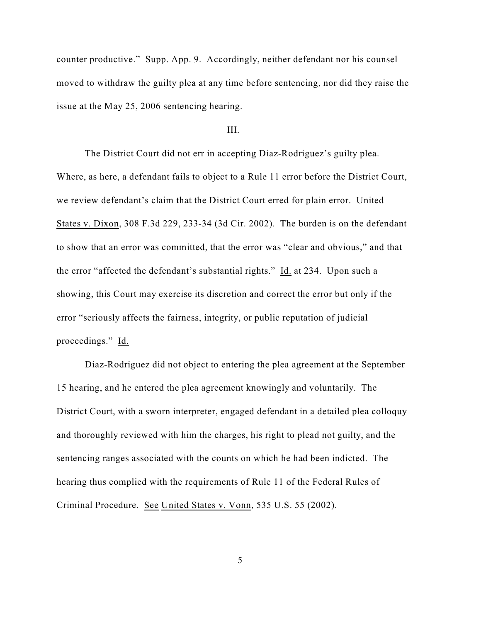counter productive." Supp. App. 9. Accordingly, neither defendant nor his counsel moved to withdraw the guilty plea at any time before sentencing, nor did they raise the issue at the May 25, 2006 sentencing hearing.

#### III.

The District Court did not err in accepting Diaz-Rodriguez's guilty plea. Where, as here, a defendant fails to object to a Rule 11 error before the District Court, we review defendant's claim that the District Court erred for plain error. United States v. Dixon, 308 F.3d 229, 233-34 (3d Cir. 2002). The burden is on the defendant to show that an error was committed, that the error was "clear and obvious," and that the error "affected the defendant's substantial rights." Id. at 234. Upon such a showing, this Court may exercise its discretion and correct the error but only if the error "seriously affects the fairness, integrity, or public reputation of judicial proceedings." Id.

Diaz-Rodriguez did not object to entering the plea agreement at the September 15 hearing, and he entered the plea agreement knowingly and voluntarily. The District Court, with a sworn interpreter, engaged defendant in a detailed plea colloquy and thoroughly reviewed with him the charges, his right to plead not guilty, and the sentencing ranges associated with the counts on which he had been indicted. The hearing thus complied with the requirements of Rule 11 of the Federal Rules of Criminal Procedure. See United States v. Vonn, 535 U.S. 55 (2002).

5